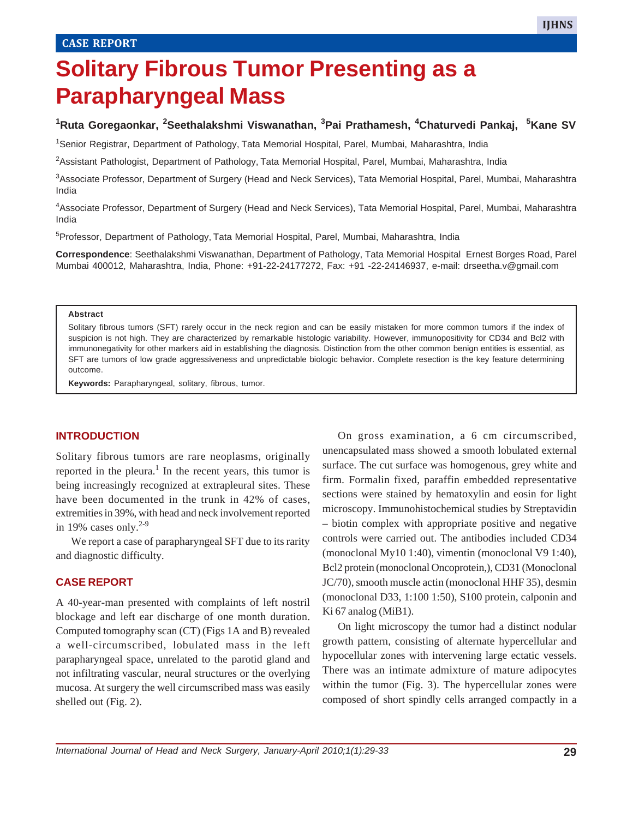# **Solitary Fibrous Tumor Presenting as a Parapharyngeal Mass**

## **1 Ruta Goregaonkar, <sup>2</sup> Seethalakshmi Viswanathan, <sup>3</sup> Pai Prathamesh, <sup>4</sup> Chaturvedi Pankaj, <sup>5</sup> Kane SV**

1 Senior Registrar, Department of Pathology, Tata Memorial Hospital, Parel, Mumbai, Maharashtra, India

2 Assistant Pathologist, Department of Pathology, Tata Memorial Hospital, Parel, Mumbai, Maharashtra, India

3Associate Professor, Department of Surgery (Head and Neck Services), Tata Memorial Hospital, Parel, Mumbai, Maharashtra India

4Associate Professor, Department of Surgery (Head and Neck Services), Tata Memorial Hospital, Parel, Mumbai, Maharashtra India

<sup>5</sup>Professor, Department of Pathology, Tata Memorial Hospital, Parel, Mumbai, Maharashtra, India

**Correspondence**: Seethalakshmi Viswanathan, Department of Pathology, Tata Memorial Hospital Ernest Borges Road, Parel Mumbai 400012, Maharashtra, India, Phone: +91-22-24177272, Fax: +91 -22-24146937, e-mail: drseetha.v@gmail.com

#### **Abstract**

Solitary fibrous tumors (SFT) rarely occur in the neck region and can be easily mistaken for more common tumors if the index of suspicion is not high. They are characterized by remarkable histologic variability. However, immunopositivity for CD34 and Bcl2 with immunonegativity for other markers aid in establishing the diagnosis. Distinction from the other common benign entities is essential, as SFT are tumors of low grade aggressiveness and unpredictable biologic behavior. Complete resection is the key feature determining outcome.

**Keywords:** Parapharyngeal, solitary, fibrous, tumor.

#### **INTRODUCTION**

Solitary fibrous tumors are rare neoplasms, originally reported in the pleura.<sup>1</sup> In the recent years, this tumor is being increasingly recognized at extrapleural sites. These have been documented in the trunk in 42% of cases, extremities in 39%, with head and neck involvement reported in 19% cases only. $2-9$ 

We report a case of parapharyngeal SFT due to its rarity and diagnostic difficulty.

#### **CASE REPORT**

A 40-year-man presented with complaints of left nostril blockage and left ear discharge of one month duration. Computed tomography scan (CT) (Figs 1A and B) revealed a well-circumscribed, lobulated mass in the left parapharyngeal space, unrelated to the parotid gland and not infiltrating vascular, neural structures or the overlying mucosa. At surgery the well circumscribed mass was easily shelled out (Fig. 2).

On gross examination, a 6 cm circumscribed, unencapsulated mass showed a smooth lobulated external surface. The cut surface was homogenous, grey white and firm. Formalin fixed, paraffin embedded representative sections were stained by hematoxylin and eosin for light microscopy. Immunohistochemical studies by Streptavidin – biotin complex with appropriate positive and negative controls were carried out. The antibodies included CD34 (monoclonal My10 1:40), vimentin (monoclonal V9 1:40), Bcl2 protein (monoclonal Oncoprotein,), CD31 (Monoclonal JC/70), smooth muscle actin (monoclonal HHF 35), desmin (monoclonal D33, 1:100 1:50), S100 protein, calponin and Ki 67 analog (MiB1).

On light microscopy the tumor had a distinct nodular growth pattern, consisting of alternate hypercellular and hypocellular zones with intervening large ectatic vessels. There was an intimate admixture of mature adipocytes within the tumor (Fig. 3). The hypercellular zones were composed of short spindly cells arranged compactly in a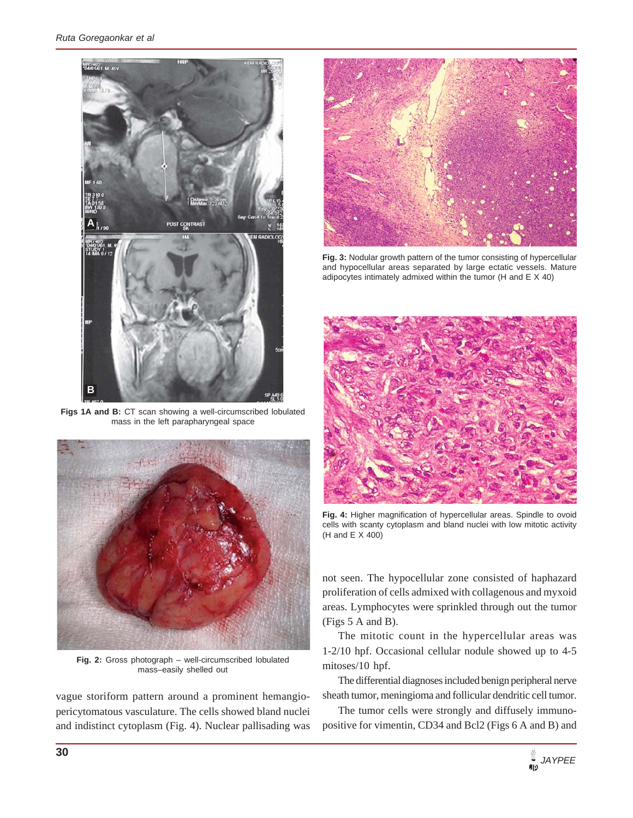

**Figs 1A and B:** CT scan showing a well-circumscribed lobulated mass in the left parapharyngeal space



**Fig. 2:** Gross photograph – well-circumscribed lobulated mass–easily shelled out

vague storiform pattern around a prominent hemangiopericytomatous vasculature. The cells showed bland nuclei and indistinct cytoplasm (Fig. 4). Nuclear pallisading was



**Fig. 3:** Nodular growth pattern of the tumor consisting of hypercellular and hypocellular areas separated by large ectatic vessels. Mature adipocytes intimately admixed within the tumor (H and E X 40)



**Fig. 4:** Higher magnification of hypercellular areas. Spindle to ovoid cells with scanty cytoplasm and bland nuclei with low mitotic activity (H and E X 400)

not seen. The hypocellular zone consisted of haphazard proliferation of cells admixed with collagenous and myxoid areas. Lymphocytes were sprinkled through out the tumor (Figs 5 A and B).

The mitotic count in the hypercellular areas was 1-2/10 hpf. Occasional cellular nodule showed up to 4-5 mitoses/10 hpf.

The differential diagnoses included benign peripheral nerve sheath tumor, meningioma and follicular dendritic cell tumor.

The tumor cells were strongly and diffusely immunopositive for vimentin, CD34 and Bcl2 (Figs 6 A and B) and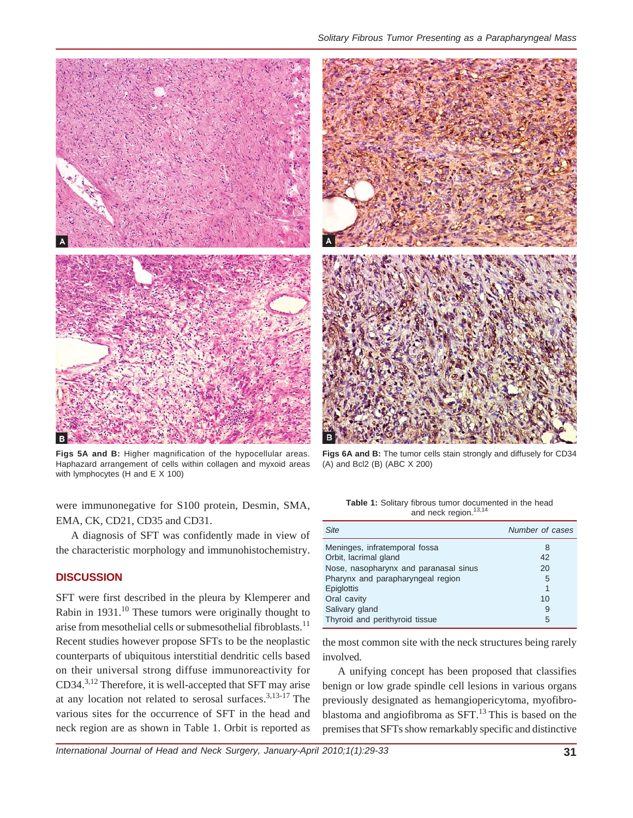

*Solitary Fibrous Tumor Presenting as a Parapharyngeal Mass*



**Figs 5A and B:** Higher magnification of the hypocellular areas. Haphazard arrangement of cells within collagen and myxoid areas with lymphocytes (H and E X 100)

were immunonegative for S100 protein, Desmin, SMA, EMA, CK, CD21, CD35 and CD31.

A diagnosis of SFT was confidently made in view of the characteristic morphology and immunohistochemistry.

## **DISCUSSION**

SFT were first described in the pleura by Klemperer and Rabin in  $1931<sup>10</sup>$  These tumors were originally thought to arise from mesothelial cells or submesothelial fibroblasts.<sup>11</sup> Recent studies however propose SFTs to be the neoplastic counterparts of ubiquitous interstitial dendritic cells based on their universal strong diffuse immunoreactivity for CD34.3,12 Therefore, it is well-accepted that SFT may arise at any location not related to serosal surfaces.<sup>3,13-17</sup> The various sites for the occurrence of SFT in the head and neck region are as shown in Table 1. Orbit is reported as

**Table 1:** Solitary fibrous tumor documented in the head

**Figs 6A and B:** The tumor cells stain strongly and diffusely for CD34

(A) and Bcl2 (B) (ABC X 200)

| and neck region. <sup>13,14</sup>                            |  |
|--------------------------------------------------------------|--|
|                                                              |  |
| <b>able 1.</b> Solitary horous turnor documented in the head |  |

| <b>Site</b>                           | Number of cases |
|---------------------------------------|-----------------|
| Meninges, infratemporal fossa         | 8               |
| Orbit, lacrimal gland                 | 42              |
| Nose, nasopharynx and paranasal sinus | 20              |
| Pharynx and parapharyngeal region     | 5               |
| Epiglottis                            | 1               |
| Oral cavity                           | 10              |
| Salivary gland                        | 9               |
| Thyroid and perithyroid tissue        | 5               |

the most common site with the neck structures being rarely involved.

A unifying concept has been proposed that classifies benign or low grade spindle cell lesions in various organs previously designated as hemangiopericytoma, myofibroblastoma and angiofibroma as  $SFT$ .<sup>13</sup> This is based on the premises that SFTs show remarkably specific and distinctive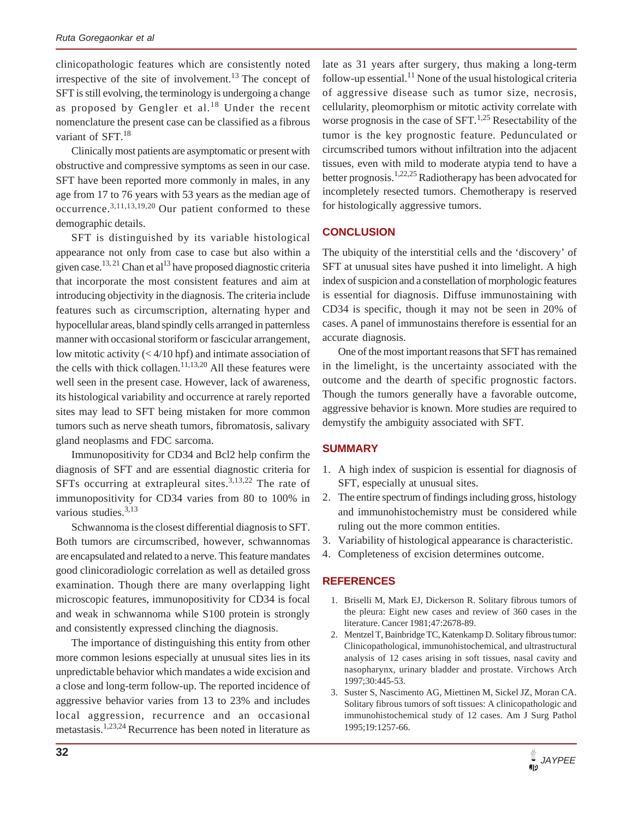clinicopathologic features which are consistently noted irrespective of the site of involvement.<sup>13</sup> The concept of SFT is still evolving, the terminology is undergoing a change as proposed by Gengler et al.<sup>18</sup> Under the recent nomenclature the present case can be classified as a fibrous variant of SFT.<sup>18</sup>

Clinically most patients are asymptomatic or present with obstructive and compressive symptoms as seen in our case. SFT have been reported more commonly in males, in any age from 17 to 76 years with 53 years as the median age of occurrence.3,11,13,19,20 Our patient conformed to these demographic details.

SFT is distinguished by its variable histological appearance not only from case to case but also within a given case.<sup>13, 21</sup> Chan et al<sup>13</sup> have proposed diagnostic criteria that incorporate the most consistent features and aim at introducing objectivity in the diagnosis. The criteria include features such as circumscription, alternating hyper and hypocellular areas, bland spindly cells arranged in patternless manner with occasional storiform or fascicular arrangement, low mitotic activity  $( $4/10$  hpf) and intimate association of$ the cells with thick collagen. $11,13,20$  All these features were well seen in the present case. However, lack of awareness, its histological variability and occurrence at rarely reported sites may lead to SFT being mistaken for more common tumors such as nerve sheath tumors, fibromatosis, salivary gland neoplasms and FDC sarcoma.

Immunopositivity for CD34 and Bcl2 help confirm the diagnosis of SFT and are essential diagnostic criteria for SFTs occurring at extrapleural sites.<sup>3,13,22</sup> The rate of immunopositivity for CD34 varies from 80 to 100% in various studies.<sup>3,13</sup>

Schwannoma is the closest differential diagnosis to SFT. Both tumors are circumscribed, however, schwannomas are encapsulated and related to a nerve. This feature mandates good clinicoradiologic correlation as well as detailed gross examination. Though there are many overlapping light microscopic features, immunopositivity for CD34 is focal and weak in schwannoma while S100 protein is strongly and consistently expressed clinching the diagnosis.

The importance of distinguishing this entity from other more common lesions especially at unusual sites lies in its unpredictable behavior which mandates a wide excision and a close and long-term follow-up. The reported incidence of aggressive behavior varies from 13 to 23% and includes local aggression, recurrence and an occasional metastasis.1,23,24 Recurrence has been noted in literature as

late as 31 years after surgery, thus making a long-term follow-up essential.<sup>11</sup> None of the usual histological criteria of aggressive disease such as tumor size, necrosis, cellularity, pleomorphism or mitotic activity correlate with worse prognosis in the case of  $SFT$ .<sup>1,25</sup> Resectability of the tumor is the key prognostic feature. Pedunculated or circumscribed tumors without infiltration into the adjacent tissues, even with mild to moderate atypia tend to have a better prognosis.<sup>1,22,25</sup> Radiotherapy has been advocated for incompletely resected tumors. Chemotherapy is reserved for histologically aggressive tumors.

## **CONCLUSION**

The ubiquity of the interstitial cells and the 'discovery' of SFT at unusual sites have pushed it into limelight. A high index of suspicion and a constellation of morphologic features is essential for diagnosis. Diffuse immunostaining with CD34 is specific, though it may not be seen in 20% of cases. A panel of immunostains therefore is essential for an accurate diagnosis.

One of the most important reasons that SFT has remained in the limelight, is the uncertainty associated with the outcome and the dearth of specific prognostic factors. Though the tumors generally have a favorable outcome, aggressive behavior is known. More studies are required to demystify the ambiguity associated with SFT.

## **SUMMARY**

- 1. A high index of suspicion is essential for diagnosis of SFT, especially at unusual sites.
- 2. The entire spectrum of findings including gross, histology and immunohistochemistry must be considered while ruling out the more common entities.
- 3. Variability of histological appearance is characteristic.
- 4. Completeness of excision determines outcome.

### **REFERENCES**

- 1. Briselli M, Mark EJ, Dickerson R. Solitary fibrous tumors of the pleura: Eight new cases and review of 360 cases in the literature. Cancer 1981;47:2678-89.
- 2. Mentzel T, Bainbridge TC, Katenkamp D. Solitary fibrous tumor: Clinicopathological, immunohistochemical, and ultrastructural analysis of 12 cases arising in soft tissues, nasal cavity and nasopharynx, urinary bladder and prostate. Virchows Arch 1997;30:445-53.
- 3. Suster S, Nascimento AG, Miettinen M, Sickel JZ, Moran CA. Solitary fibrous tumors of soft tissues: A clinicopathologic and immunohistochemical study of 12 cases. Am J Surg Pathol 1995;19:1257-66.